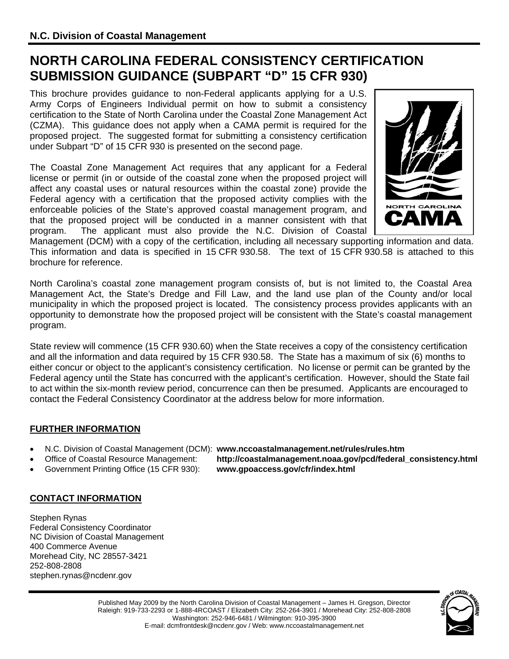# **NORTH CAROLINA FEDERAL CONSISTENCY CERTIFICATION SUBMISSION GUIDANCE (SUBPART "D" 15 CFR 930)**

This brochure provides guidance to non-Federal applicants applying for a U.S. Army Corps of Engineers Individual permit on how to submit a consistency certification to the State of North Carolina under the Coastal Zone Management Act (CZMA). This guidance does not apply when a CAMA permit is required for the proposed project. The suggested format for submitting a consistency certification under Subpart "D" of 15 CFR 930 is presented on the second page.

The Coastal Zone Management Act requires that any applicant for a Federal license or permit (in or outside of the coastal zone when the proposed project will affect any coastal uses or natural resources within the coastal zone) provide the Federal agency with a certification that the proposed activity complies with the enforceable policies of the State's approved coastal management program, and that the proposed project will be conducted in a manner consistent with that program. The applicant must also provide the N.C. Division of Coastal



Management (DCM) with a copy of the certification, including all necessary supporting information and data. This information and data is specified in 15 CFR 930.58. The text of 15 CFR 930.58 is attached to this brochure for reference.

North Carolina's coastal zone management program consists of, but is not limited to, the Coastal Area Management Act, the State's Dredge and Fill Law, and the land use plan of the County and/or local municipality in which the proposed project is located. The consistency process provides applicants with an opportunity to demonstrate how the proposed project will be consistent with the State's coastal management program.

State review will commence (15 CFR 930.60) when the State receives a copy of the consistency certification and all the information and data required by 15 CFR 930.58. The State has a maximum of six (6) months to either concur or object to the applicant's consistency certification. No license or permit can be granted by the Federal agency until the State has concurred with the applicant's certification. However, should the State fail to act within the six-month review period, concurrence can then be presumed. Applicants are encouraged to contact the Federal Consistency Coordinator at the address below for more information.

## **FURTHER INFORMATION**

- N.C. Division of Coastal Management (DCM): **www.nccoastalmanagement.net/rules/rules.htm**
- - Office of Coastal Resource Management: **http://coastalmanagement.noaa.gov/pcd/federal\_consistency.html**
- Government Printing Office (15 CFR 930): **www.gpoaccess.gov/cfr/index.html**

## **CONTACT INFORMATION**

Stephen Rynas Federal Consistency Coordinator NC Division of Coastal Management 400 Commerce Avenue Morehead City, NC 28557-3421 252-808-2808 stephen.rynas@ncdenr.gov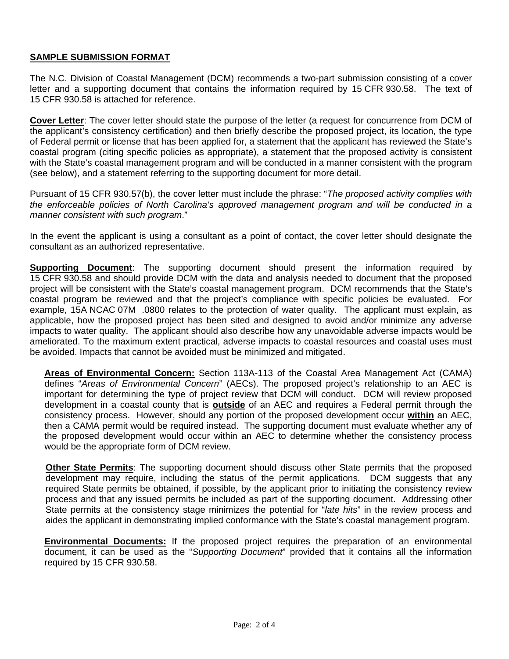## **SAMPLE SUBMISSION FORMAT**

The N.C. Division of Coastal Management (DCM) recommends a two-part submission consisting of a cover letter and a supporting document that contains the information required by 15 CFR 930.58. The text of 15 CFR 930.58 is attached for reference.

**Cover Letter**: The cover letter should state the purpose of the letter (a request for concurrence from DCM of the applicant's consistency certification) and then briefly describe the proposed project, its location, the type of Federal permit or license that has been applied for, a statement that the applicant has reviewed the State's coastal program (citing specific policies as appropriate), a statement that the proposed activity is consistent with the State's coastal management program and will be conducted in a manner consistent with the program (see below), and a statement referring to the supporting document for more detail.

Pursuant of 15 CFR 930.57(b), the cover letter must include the phrase: "*The proposed activity complies with the enforceable policies of North Carolina's approved management program and will be conducted in a manner consistent with such program*."

In the event the applicant is using a consultant as a point of contact, the cover letter should designate the consultant as an authorized representative.

**Supporting Document**: The supporting document should present the information required by 15 CFR 930.58 and should provide DCM with the data and analysis needed to document that the proposed project will be consistent with the State's coastal management program. DCM recommends that the State's coastal program be reviewed and that the project's compliance with specific policies be evaluated. For example, 15A NCAC 07M .0800 relates to the protection of water quality. The applicant must explain, as applicable, how the proposed project has been sited and designed to avoid and/or minimize any adverse impacts to water quality. The applicant should also describe how any unavoidable adverse impacts would be ameliorated. To the maximum extent practical, adverse impacts to coastal resources and coastal uses must be avoided. Impacts that cannot be avoided must be minimized and mitigated.

**Areas of Environmental Concern:** Section 113A-113 of the Coastal Area Management Act (CAMA) defines "*Areas of Environmental Concern*" (AECs). The proposed project's relationship to an AEC is important for determining the type of project review that DCM will conduct. DCM will review proposed development in a coastal county that is **outside** of an AEC and requires a Federal permit through the consistency process. However, should any portion of the proposed development occur **within** an AEC, then a CAMA permit would be required instead. The supporting document must evaluate whether any of the proposed development would occur within an AEC to determine whether the consistency process would be the appropriate form of DCM review.

**Other State Permits**: The supporting document should discuss other State permits that the proposed development may require, including the status of the permit applications. DCM suggests that any required State permits be obtained, if possible, by the applicant prior to initiating the consistency review process and that any issued permits be included as part of the supporting document. Addressing other State permits at the consistency stage minimizes the potential for "*late hits*" in the review process and aides the applicant in demonstrating implied conformance with the State's coastal management program.

**Environmental Documents:** If the proposed project requires the preparation of an environmental document, it can be used as the "*Supporting Document*" provided that it contains all the information required by 15 CFR 930.58.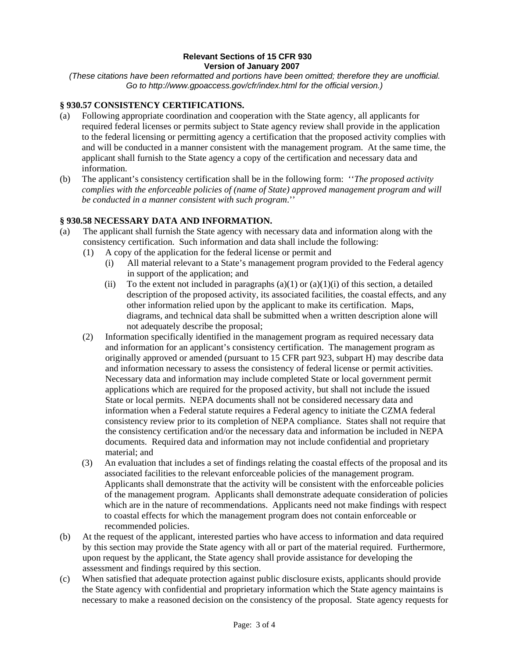#### **Relevant Sections of 15 CFR 930 Version of January 2007**

*(These citations have been reformatted and portions have been omitted; therefore they are unofficial. Go to http://www.gpoaccess.gov/cfr/index.html for the official version.)* 

### **§ 930.57 CONSISTENCY CERTIFICATIONS.**

- (a) Following appropriate coordination and cooperation with the State agency, all applicants for required federal licenses or permits subject to State agency review shall provide in the application to the federal licensing or permitting agency a certification that the proposed activity complies with and will be conducted in a manner consistent with the management program. At the same time, the applicant shall furnish to the State agency a copy of the certification and necessary data and information.
- (b) The applicant's consistency certification shall be in the following form: ''*The proposed activity complies with the enforceable policies of (name of State) approved management program and will be conducted in a manner consistent with such program*.''

### **§ 930.58 NECESSARY DATA AND INFORMATION.**

- (a) The applicant shall furnish the State agency with necessary data and information along with the consistency certification. Such information and data shall include the following:
	- (1) A copy of the application for the federal license or permit and
		- (i) All material relevant to a State's management program provided to the Federal agency in support of the application; and
		- (ii) To the extent not included in paragraphs  $(a)(1)$  or  $(a)(1)(i)$  of this section, a detailed description of the proposed activity, its associated facilities, the coastal effects, and any other information relied upon by the applicant to make its certification. Maps, diagrams, and technical data shall be submitted when a written description alone will not adequately describe the proposal;
	- (2) Information specifically identified in the management program as required necessary data and information for an applicant's consistency certification. The management program as originally approved or amended (pursuant to 15 CFR part 923, subpart H) may describe data and information necessary to assess the consistency of federal license or permit activities. Necessary data and information may include completed State or local government permit applications which are required for the proposed activity, but shall not include the issued State or local permits. NEPA documents shall not be considered necessary data and information when a Federal statute requires a Federal agency to initiate the CZMA federal consistency review prior to its completion of NEPA compliance. States shall not require that the consistency certification and/or the necessary data and information be included in NEPA documents. Required data and information may not include confidential and proprietary material; and
	- (3) An evaluation that includes a set of findings relating the coastal effects of the proposal and its associated facilities to the relevant enforceable policies of the management program. Applicants shall demonstrate that the activity will be consistent with the enforceable policies of the management program. Applicants shall demonstrate adequate consideration of policies which are in the nature of recommendations. Applicants need not make findings with respect to coastal effects for which the management program does not contain enforceable or recommended policies.
- (b) At the request of the applicant, interested parties who have access to information and data required by this section may provide the State agency with all or part of the material required. Furthermore, upon request by the applicant, the State agency shall provide assistance for developing the assessment and findings required by this section.
- (c) When satisfied that adequate protection against public disclosure exists, applicants should provide the State agency with confidential and proprietary information which the State agency maintains is necessary to make a reasoned decision on the consistency of the proposal. State agency requests for